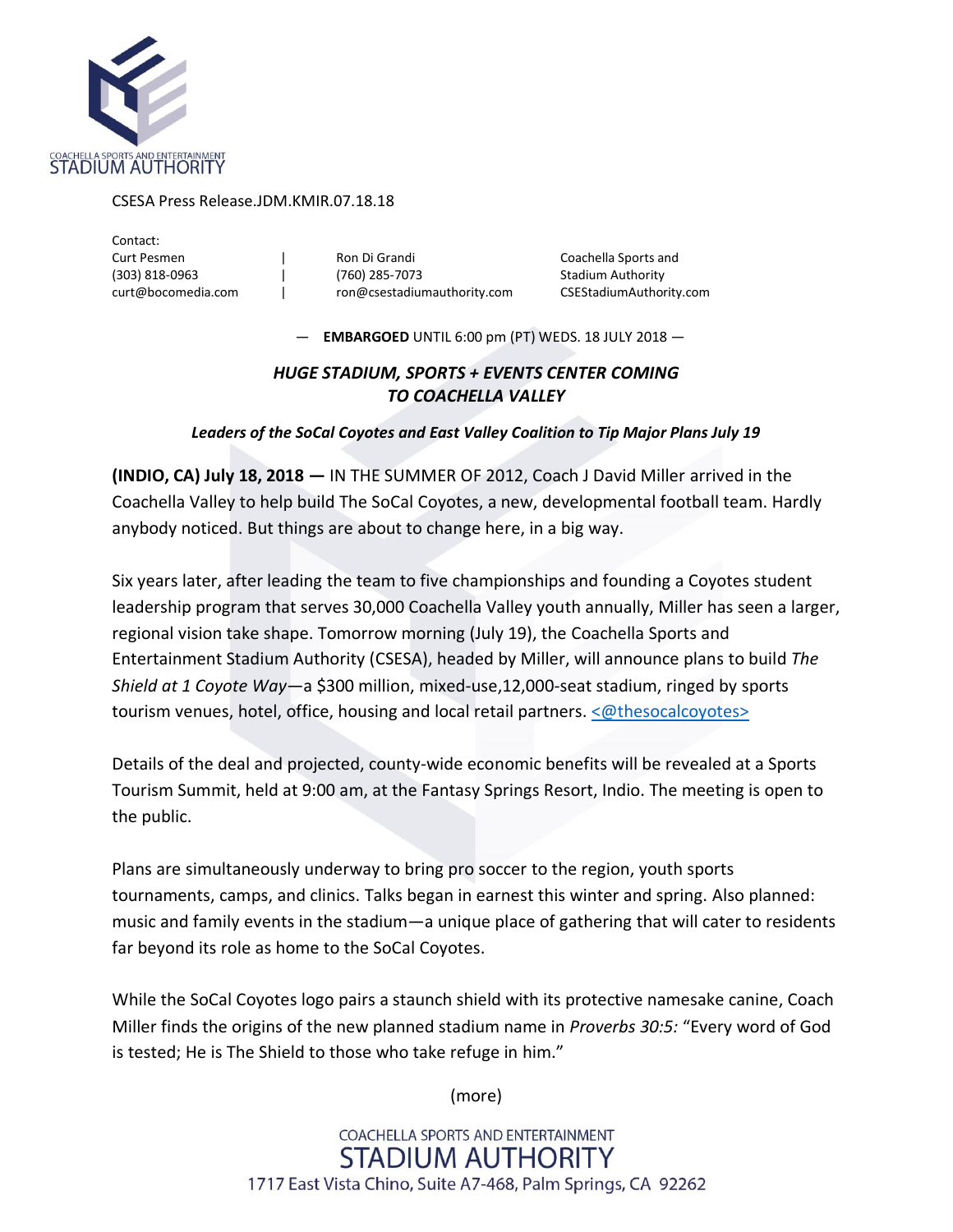

## CSESA Press Release.JDM.KMIR.07.18.18

Contact:

Curt Pesmen | Ron Di Grandi Coachella Sports and (303) 818-0963 | (760) 285-7073 Stadium Authority curt@bocomedia.com | ron@csestadiumauthority.com CSEStadiumAuthority.com

— **EMBARGOED** UNTIL 6:00 pm (PT) WEDS. 18 JULY 2018 —

## *HUGE STADIUM, SPORTS + EVENTS CENTER COMING TO COACHELLA VALLEY*

## *Leaders of the SoCal Coyotes and East Valley Coalition to Tip Major Plans July 19*

**(INDIO, CA) July 18, 2018 —** IN THE SUMMER OF 2012, Coach J David Miller arrived in the Coachella Valley to help build The SoCal Coyotes, a new, developmental football team. Hardly anybody noticed. But things are about to change here, in a big way.

Six years later, after leading the team to five championships and founding a Coyotes student leadership program that serves 30,000 Coachella Valley youth annually, Miller has seen a larger, regional vision take shape. Tomorrow morning (July 19), the Coachella Sports and Entertainment Stadium Authority (CSESA), headed by Miller, will announce plans to build *The Shield at 1 Coyote Way*—a \$300 million, mixed-use,12,000-seat stadium, ringed by sports tourism venues, hotel, office, housing and local retail partners. [<@thesocalcoyotes>](https://twitter.com/thesocalcoyotes)

Details of the deal and projected, county-wide economic benefits will be revealed at a Sports Tourism Summit, held at 9:00 am, at the Fantasy Springs Resort, Indio. The meeting is open to the public.

Plans are simultaneously underway to bring pro soccer to the region, youth sports tournaments, camps, and clinics. Talks began in earnest this winter and spring. Also planned: music and family events in the stadium—a unique place of gathering that will cater to residents far beyond its role as home to the SoCal Coyotes.

While the SoCal Coyotes logo pairs a staunch shield with its protective namesake canine, Coach Miller finds the origins of the new planned stadium name in *Proverbs 30:5:* "Every word of God is tested; He is The Shield to those who take refuge in him."

(more)

COACHELLA SPORTS AND ENTERTAINMENT **STADIUM AUTHORITY** 1717 East Vista Chino, Suite A7-468, Palm Springs, CA 92262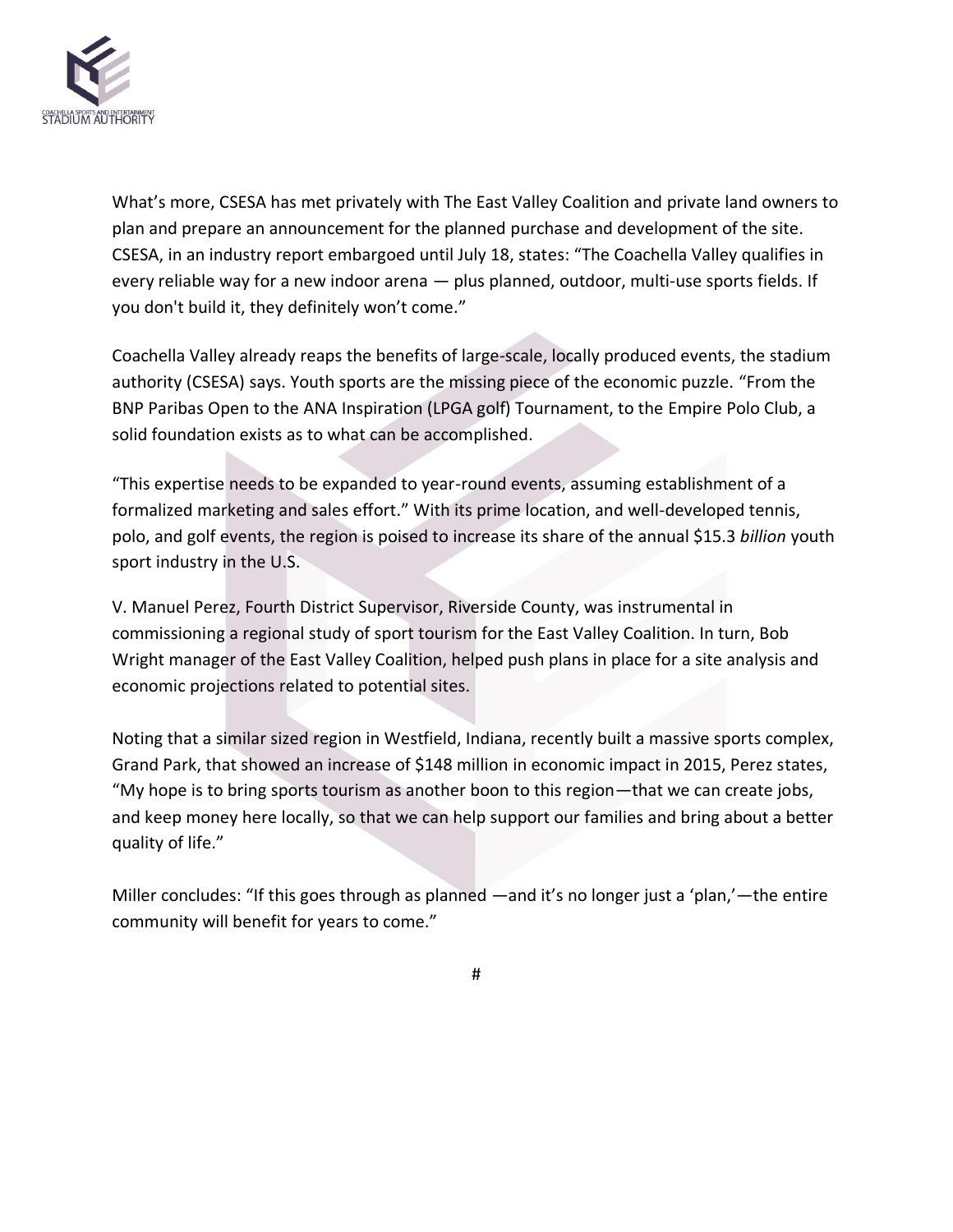

What's more, CSESA has met privately with The East Valley Coalition and private land owners to plan and prepare an announcement for the planned purchase and development of the site. CSESA, in an industry report embargoed until July 18, states: "The Coachella Valley qualifies in every reliable way for a new indoor arena — plus planned, outdoor, multi-use sports fields. If you don't build it, they definitely won't come."

Coachella Valley already reaps the benefits of large-scale, locally produced events, the stadium authority (CSESA) says. Youth sports are the missing piece of the economic puzzle. "From the BNP Paribas Open to the ANA Inspiration (LPGA golf) Tournament, to the Empire Polo Club, a solid foundation exists as to what can be accomplished.

"This expertise needs to be expanded to year-round events, assuming establishment of a formalized marketing and sales effort." With its prime location, and well-developed tennis, polo, and golf events, the region is poised to increase its share of the annual \$15.3 *billion* youth sport industry in the U.S.

V. Manuel Perez, Fourth District Supervisor, Riverside County, was instrumental in commissioning a regional study of sport tourism for the East Valley Coalition. In turn, Bob Wright manager of the East Valley Coalition, helped push plans in place for a site analysis and economic projections related to potential sites.

Noting that a similar sized region in Westfield, Indiana, recently built a massive sports complex, Grand Park, that showed an increase of \$148 million in economic impact in 2015, Perez states, "My hope is to bring sports tourism as another boon to this region—that we can create jobs, and keep money here locally, so that we can help support our families and bring about a better quality of life."

Miller concludes: "If this goes through as planned —and it's no longer just a 'plan,'—the entire community will benefit for years to come."

#